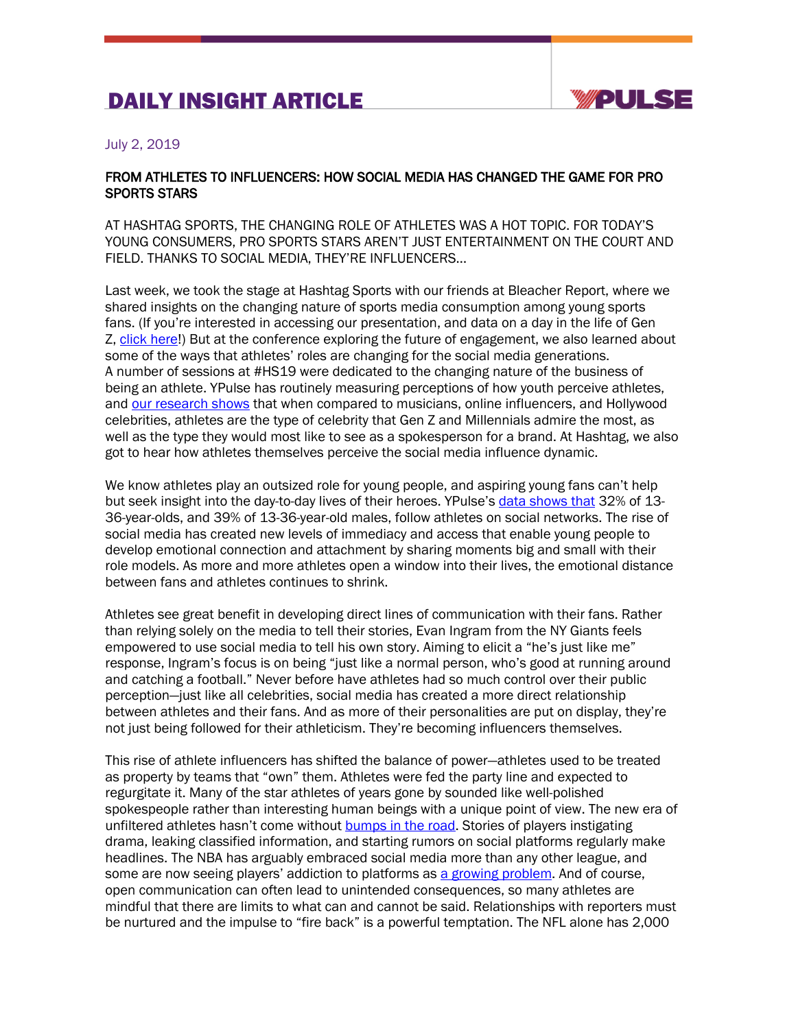## DAILY INSIGHT ARTICLE



## July 2, 2019

## FROM ATHLETES TO INFLUENCERS: HOW SOCIAL MEDIA HAS CHANGED THE GAME FOR PRO SPORTS STARS

AT HASHTAG SPORTS, THE CHANGING ROLE OF ATHLETES WAS A HOT TOPIC. FOR TODAY'S YOUNG CONSUMERS, PRO SPORTS STARS AREN'T JUST ENTERTAINMENT ON THE COURT AND FIELD. THANKS TO SOCIAL MEDIA, THEY'RE INFLUENCERS…

Last week, we took the stage at Hashtag Sports with our friends at Bleacher Report, where we shared insights on the changing nature of sports media consumption among young sports fans. (If you're interested in accessing our presentation, and data on a day in the life of Gen Z, click here!) But at the conference exploring the future of engagement, we also learned about some of the ways that athletes' roles are changing for the social media generations. A number of sessions at #HS19 were dedicated to the changing nature of the business of being an athlete. YPulse has routinely measuring perceptions of how youth perceive athletes, and our research shows that when compared to musicians, online influencers, and Hollywood celebrities, athletes are the type of celebrity that Gen Z and Millennials admire the most, as well as the type they would most like to see as a spokesperson for a brand. At Hashtag, we also got to hear how athletes themselves perceive the social media influence dynamic.

We know athletes play an outsized role for young people, and aspiring young fans can't help but seek insight into the day-to-day lives of their heroes. YPulse's data shows that 32% of 13- 36-year-olds, and 39% of 13-36-year-old males, follow athletes on social networks. The rise of social media has created new levels of immediacy and access that enable young people to develop emotional connection and attachment by sharing moments big and small with their role models. As more and more athletes open a window into their lives, the emotional distance between fans and athletes continues to shrink.

Athletes see great benefit in developing direct lines of communication with their fans. Rather than relying solely on the media to tell their stories, Evan Ingram from the NY Giants feels empowered to use social media to tell his own story. Aiming to elicit a "he's just like me" response, Ingram's focus is on being "just like a normal person, who's good at running around and catching a football." Never before have athletes had so much control over their public perception—just like all celebrities, social media has created a more direct relationship between athletes and their fans. And as more of their personalities are put on display, they're not just being followed for their athleticism. They're becoming influencers themselves.

This rise of athlete influencers has shifted the balance of power—athletes used to be treated as property by teams that "own" them. Athletes were fed the party line and expected to regurgitate it. Many of the star athletes of years gone by sounded like well-polished spokespeople rather than interesting human beings with a unique point of view. The new era of unfiltered athletes hasn't come without **bumps in the road.** Stories of players instigating drama, leaking classified information, and starting rumors on social platforms regularly make headlines. The NBA has arguably embraced social media more than any other league, and some are now seeing players' addiction to platforms as a growing problem. And of course, open communication can often lead to unintended consequences, so many athletes are mindful that there are limits to what can and cannot be said. Relationships with reporters must be nurtured and the impulse to "fire back" is a powerful temptation. The NFL alone has 2,000